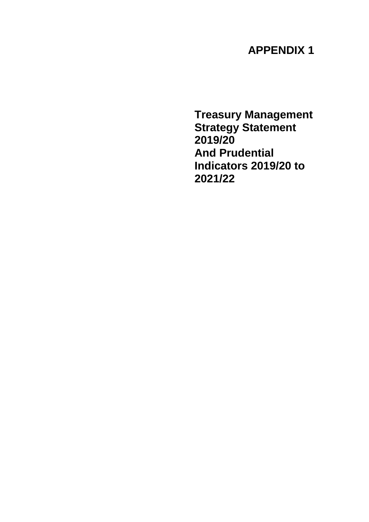# **APPENDIX 1**

**Treasury Management Strategy Statement 2019/20 And Prudential Indicators 2019/20 to 2021/22**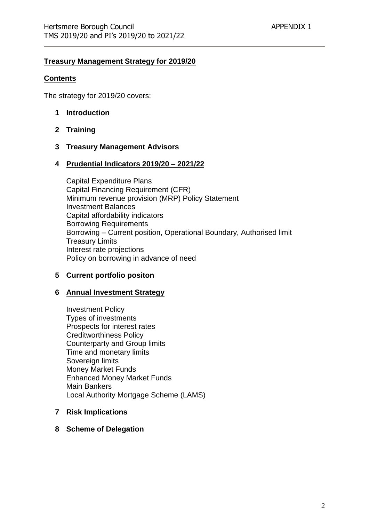#### **Treasury Management Strategy for 2019/20**

#### **Contents**

The strategy for 2019/20 covers:

- **1 Introduction**
- **2 Training**
- **3 Treasury Management Advisors**

#### **4 Prudential Indicators 2019/20 – 2021/22**

Capital Expenditure Plans Capital Financing Requirement (CFR) Minimum revenue provision (MRP) Policy Statement Investment Balances Capital affordability indicators Borrowing Requirements Borrowing – Current position, Operational Boundary, Authorised limit Treasury Limits Interest rate projections Policy on borrowing in advance of need

#### **5 Current portfolio positon**

#### **6 Annual Investment Strategy**

Investment Policy Types of investments Prospects for interest rates Creditworthiness Policy Counterparty and Group limits Time and monetary limits Sovereign limits Money Market Funds Enhanced Money Market Funds Main Bankers Local Authority Mortgage Scheme (LAMS)

#### **7 Risk Implications**

#### **8 Scheme of Delegation**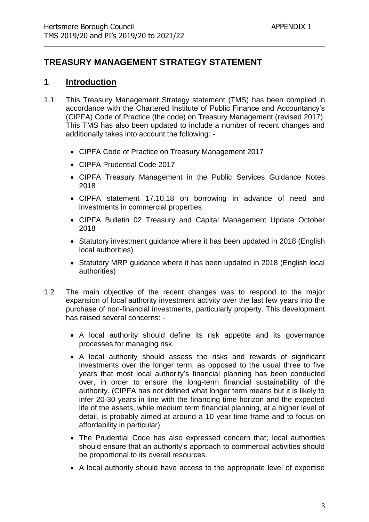## **TREASURY MANAGEMENT STRATEGY STATEMENT**

### **1 Introduction**

- 1.1 This Treasury Management Strategy statement (TMS) has been compiled in accordance with the Chartered Institute of Public Finance and Accountancy's (CIPFA) Code of Practice (the code) on Treasury Management (revised 2017). This TMS has also been updated to include a number of recent changes and additionally takes into account the following: -
	- CIPFA Code of Practice on Treasury Management 2017
	- CIPFA Prudential Code 2017
	- CIPFA Treasury Management in the Public Services Guidance Notes 2018
	- CIPFA statement 17.10.18 on borrowing in advance of need and investments in commercial properties
	- CIPFA Bulletin 02 Treasury and Capital Management Update October 2018
	- Statutory investment guidance where it has been updated in 2018 (English local authorities)
	- Statutory MRP guidance where it has been updated in 2018 (English local authorities)
- 1.2 The main objective of the recent changes was to respond to the major expansion of local authority investment activity over the last few years into the purchase of non-financial investments, particularly property. This development has raised several concerns: -
	- A local authority should define its risk appetite and its governance processes for managing risk.
	- A local authority should assess the risks and rewards of significant investments over the longer term, as opposed to the usual three to five years that most local authority's financial planning has been conducted over, in order to ensure the long-term financial sustainability of the authority. (CIPFA has not defined what longer term means but it is likely to infer 20-30 years in line with the financing time horizon and the expected life of the assets, while medium term financial planning, at a higher level of detail, is probably aimed at around a 10 year time frame and to focus on affordability in particular).
	- The Prudential Code has also expressed concern that; local authorities should ensure that an authority's approach to commercial activities should be proportional to its overall resources.
	- A local authority should have access to the appropriate level of expertise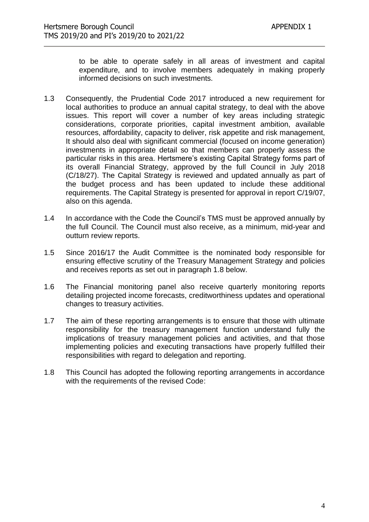to be able to operate safely in all areas of investment and capital expenditure, and to involve members adequately in making properly informed decisions on such investments.

- 1.3 Consequently, the Prudential Code 2017 introduced a new requirement for local authorities to produce an annual capital strategy, to deal with the above issues. This report will cover a number of key areas including strategic considerations, corporate priorities, capital investment ambition, available resources, affordability, capacity to deliver, risk appetite and risk management, It should also deal with significant commercial (focused on income generation) investments in appropriate detail so that members can properly assess the particular risks in this area. Hertsmere's existing Capital Strategy forms part of its overall Financial Strategy, approved by the full Council in July 2018 (C/18/27). The Capital Strategy is reviewed and updated annually as part of the budget process and has been updated to include these additional requirements. The Capital Strategy is presented for approval in report C/19/07, also on this agenda.
- 1.4 In accordance with the Code the Council's TMS must be approved annually by the full Council. The Council must also receive, as a minimum, mid-year and outturn review reports.
- 1.5 Since 2016/17 the Audit Committee is the nominated body responsible for ensuring effective scrutiny of the Treasury Management Strategy and policies and receives reports as set out in paragraph 1.8 below.
- 1.6 The Financial monitoring panel also receive quarterly monitoring reports detailing projected income forecasts, creditworthiness updates and operational changes to treasury activities.
- 1.7 The aim of these reporting arrangements is to ensure that those with ultimate responsibility for the treasury management function understand fully the implications of treasury management policies and activities, and that those implementing policies and executing transactions have properly fulfilled their responsibilities with regard to delegation and reporting.
- 1.8 This Council has adopted the following reporting arrangements in accordance with the requirements of the revised Code: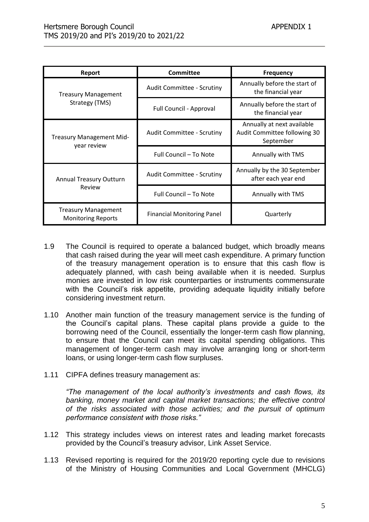| <b>Report</b>                                                                                | <b>Committee</b>                  | <b>Frequency</b>                                                        |
|----------------------------------------------------------------------------------------------|-----------------------------------|-------------------------------------------------------------------------|
| <b>Treasury Management</b>                                                                   | <b>Audit Committee - Scrutiny</b> | Annually before the start of<br>the financial year                      |
| Strategy (TMS)                                                                               | Full Council - Approval           | Annually before the start of<br>the financial year                      |
| <b>Treasury Management Mid-</b>                                                              | <b>Audit Committee - Scrutiny</b> | Annually at next available<br>Audit Committee following 30<br>September |
| year review                                                                                  | Full Council - To Note            | Annually with TMS                                                       |
| <b>Annual Treasury Outturn</b>                                                               | Audit Committee - Scrutiny        | Annually by the 30 September<br>after each year end                     |
| Review                                                                                       | Full Council - To Note            | Annually with TMS                                                       |
| <b>Treasury Management</b><br><b>Financial Monitoring Panel</b><br><b>Monitoring Reports</b> |                                   | Quarterly                                                               |

- 1.9 The Council is required to operate a balanced budget, which broadly means that cash raised during the year will meet cash expenditure. A primary function of the treasury management operation is to ensure that this cash flow is adequately planned, with cash being available when it is needed. Surplus monies are invested in low risk counterparties or instruments commensurate with the Council's risk appetite, providing adequate liquidity initially before considering investment return.
- 1.10 Another main function of the treasury management service is the funding of the Council's capital plans. These capital plans provide a guide to the borrowing need of the Council, essentially the longer-term cash flow planning, to ensure that the Council can meet its capital spending obligations. This management of longer-term cash may involve arranging long or short-term loans, or using longer-term cash flow surpluses.
- 1.11 CIPFA defines treasury management as:

*"The management of the local authority's investments and cash flows, its banking, money market and capital market transactions; the effective control of the risks associated with those activities; and the pursuit of optimum performance consistent with those risks."*

- 1.12 This strategy includes views on interest rates and leading market forecasts provided by the Council's treasury advisor, Link Asset Service.
- 1.13 Revised reporting is required for the 2019/20 reporting cycle due to revisions of the Ministry of Housing Communities and Local Government (MHCLG)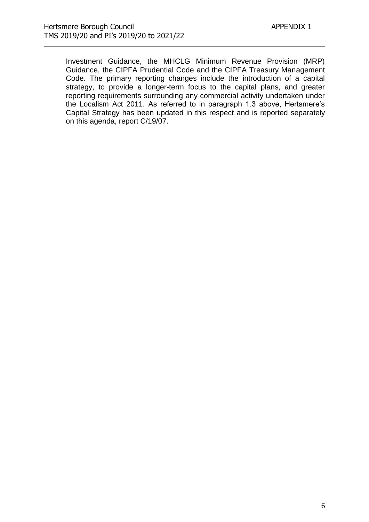Investment Guidance, the MHCLG Minimum Revenue Provision (MRP) Guidance, the CIPFA Prudential Code and the CIPFA Treasury Management Code. The primary reporting changes include the introduction of a capital strategy, to provide a longer-term focus to the capital plans, and greater reporting requirements surrounding any commercial activity undertaken under the Localism Act 2011. As referred to in paragraph 1.3 above, Hertsmere's Capital Strategy has been updated in this respect and is reported separately on this agenda, report C/19/07.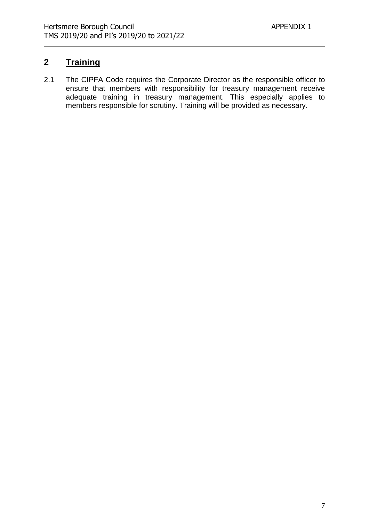## **2 Training**

2.1 The CIPFA Code requires the Corporate Director as the responsible officer to ensure that members with responsibility for treasury management receive adequate training in treasury management. This especially applies to members responsible for scrutiny. Training will be provided as necessary.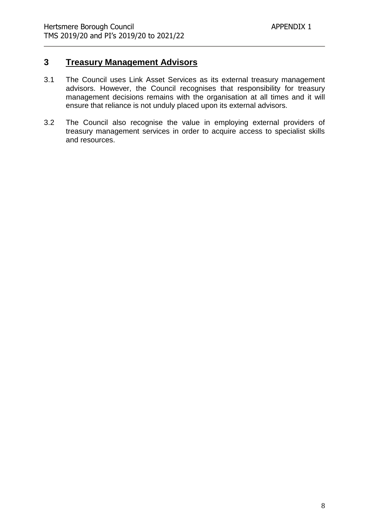### **3 Treasury Management Advisors**

- 3.1 The Council uses Link Asset Services as its external treasury management advisors. However, the Council recognises that responsibility for treasury management decisions remains with the organisation at all times and it will ensure that reliance is not unduly placed upon its external advisors.
- 3.2 The Council also recognise the value in employing external providers of treasury management services in order to acquire access to specialist skills and resources.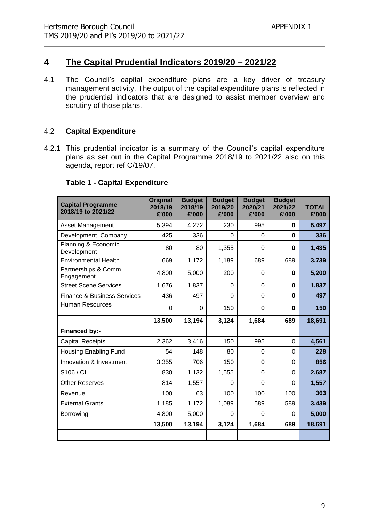## **4 The Capital Prudential Indicators 2019/20 – 2021/22**

4.1 The Council's capital expenditure plans are a key driver of treasury management activity. The output of the capital expenditure plans is reflected in the prudential indicators that are designed to assist member overview and scrutiny of those plans.

#### 4.2 **Capital Expenditure**

4.2.1 This prudential indicator is a summary of the Council's capital expenditure plans as set out in the Capital Programme 2018/19 to 2021/22 also on this agenda, report ref C/19/07.

#### **Table 1 - Capital Expenditure**

| <b>Capital Programme</b><br>2018/19 to 2021/22 | Original<br>2018/19<br>£'000 | <b>Budget</b><br>2018/19<br>£'000 | <b>Budget</b><br>2019/20<br>£'000 | <b>Budget</b><br>2020/21<br>£'000 | <b>Budget</b><br>2021/22<br>£'000 | <b>TOTAL</b><br>£'000 |
|------------------------------------------------|------------------------------|-----------------------------------|-----------------------------------|-----------------------------------|-----------------------------------|-----------------------|
| <b>Asset Management</b>                        | 5,394                        | 4,272                             | 230                               | 995                               | $\bf{0}$                          | 5,497                 |
| Development Company                            | 425                          | 336                               | 0                                 | 0                                 | $\mathbf 0$                       | 336                   |
| Planning & Economic<br>Development             | 80                           | 80                                | 1,355                             | 0                                 | 0                                 | 1,435                 |
| <b>Environmental Health</b>                    | 669                          | 1,172                             | 1,189                             | 689                               | 689                               | 3,739                 |
| Partnerships & Comm.<br>Engagement             | 4,800                        | 5,000                             | 200                               | 0                                 | 0                                 | 5,200                 |
| <b>Street Scene Services</b>                   | 1,676                        | 1,837                             | $\Omega$                          | 0                                 | 0                                 | 1,837                 |
| <b>Finance &amp; Business Services</b>         | 436                          | 497                               | $\Omega$                          | 0                                 | $\bf{0}$                          | 497                   |
| <b>Human Resources</b>                         | $\Omega$                     | $\Omega$                          | 150                               | 0                                 | $\bf{0}$                          | 150                   |
|                                                | 13,500                       | 13,194                            | 3,124                             | 1,684                             | 689                               | 18,691                |
| <b>Financed by:-</b>                           |                              |                                   |                                   |                                   |                                   |                       |
| <b>Capital Receipts</b>                        | 2,362                        | 3,416                             | 150                               | 995                               | $\mathbf 0$                       | 4,561                 |
| <b>Housing Enabling Fund</b>                   | 54                           | 148                               | 80                                | 0                                 | $\Omega$                          | 228                   |
| Innovation & Investment                        | 3,355                        | 706                               | 150                               | 0                                 | $\Omega$                          | 856                   |
| S106 / CIL                                     | 830                          | 1,132                             | 1,555                             | 0                                 | $\overline{0}$                    | 2,687                 |
| <b>Other Reserves</b>                          | 814                          | 1,557                             | 0                                 | 0                                 | $\Omega$                          | 1,557                 |
| Revenue                                        | 100                          | 63                                | 100                               | 100                               | 100                               | 363                   |
| <b>External Grants</b>                         | 1,185                        | 1,172                             | 1,089                             | 589                               | 589                               | 3,439                 |
| Borrowing                                      | 4,800                        | 5,000                             | 0                                 | 0                                 | $\Omega$                          | 5,000                 |
|                                                | 13,500                       | 13,194                            | 3,124                             | 1,684                             | 689                               | 18,691                |
|                                                |                              |                                   |                                   |                                   |                                   |                       |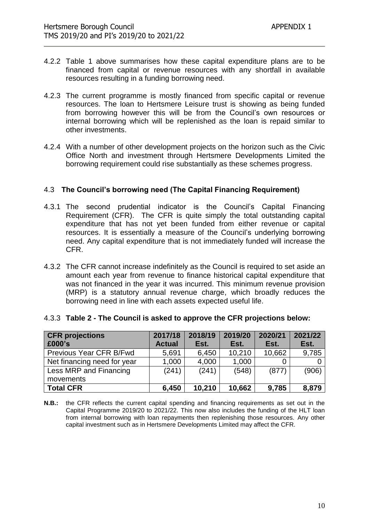- 4.2.2 Table 1 above summarises how these capital expenditure plans are to be financed from capital or revenue resources with any shortfall in available resources resulting in a funding borrowing need.
- 4.2.3 The current programme is mostly financed from specific capital or revenue resources. The loan to Hertsmere Leisure trust is showing as being funded from borrowing however this will be from the Council's own resources or internal borrowing which will be replenished as the loan is repaid similar to other investments.
- 4.2.4 With a number of other development projects on the horizon such as the Civic Office North and investment through Hertsmere Developments Limited the borrowing requirement could rise substantially as these schemes progress.

#### 4.3 **The Council's borrowing need (The Capital Financing Requirement)**

- 4.3.1 The second prudential indicator is the Council's Capital Financing Requirement (CFR). The CFR is quite simply the total outstanding capital expenditure that has not yet been funded from either revenue or capital resources. It is essentially a measure of the Council's underlying borrowing need. Any capital expenditure that is not immediately funded will increase the CFR.
- 4.3.2 The CFR cannot increase indefinitely as the Council is required to set aside an amount each year from revenue to finance historical capital expenditure that was not financed in the year it was incurred. This minimum revenue provision (MRP) is a statutory annual revenue charge, which broadly reduces the borrowing need in line with each assets expected useful life.

| <b>CFR</b> projections<br>£000's    | 2017/18<br><b>Actual</b> | 2018/19<br>Est. | 2019/20<br>Est. | 2020/21<br>Est. | 2021/22<br>Est. |
|-------------------------------------|--------------------------|-----------------|-----------------|-----------------|-----------------|
| Previous Year CFR B/Fwd             | 5,691                    | 6,450           | 10,210          | 10,662          | 9,785           |
| Net financing need for year         | 1,000                    | 4,000           | 1,000           |                 |                 |
| Less MRP and Financing<br>movements | (241)                    | (241)           | (548)           | (877)           | (906)           |
| <b>Total CFR</b>                    | 6,450                    | 10,210          | 10,662          | 9,785           | 8,879           |

#### 4.3.3 **Table 2 - The Council is asked to approve the CFR projections below:**

**N.B.:** the CFR reflects the current capital spending and financing requirements as set out in the Capital Programme 2019/20 to 2021/22. This now also includes the funding of the HLT loan from internal borrowing with loan repayments then replenishing those resources. Any other capital investment such as in Hertsmere Developments Limited may affect the CFR.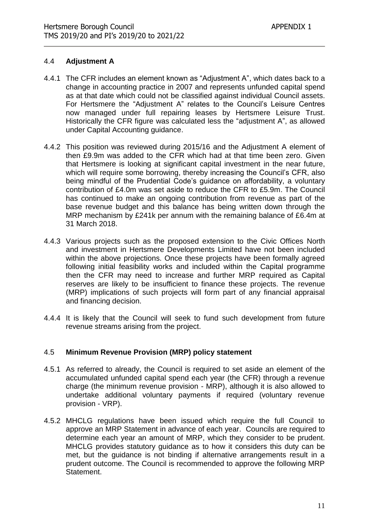#### 4.4 **Adjustment A**

- 4.4.1 The CFR includes an element known as "Adjustment A", which dates back to a change in accounting practice in 2007 and represents unfunded capital spend as at that date which could not be classified against individual Council assets. For Hertsmere the "Adjustment A" relates to the Council's Leisure Centres now managed under full repairing leases by Hertsmere Leisure Trust. Historically the CFR figure was calculated less the "adjustment A", as allowed under Capital Accounting guidance.
- 4.4.2 This position was reviewed during 2015/16 and the Adjustment A element of then £9.9m was added to the CFR which had at that time been zero. Given that Hertsmere is looking at significant capital investment in the near future, which will require some borrowing, thereby increasing the Council's CFR, also being mindful of the Prudential Code's guidance on affordability, a voluntary contribution of £4.0m was set aside to reduce the CFR to £5.9m. The Council has continued to make an ongoing contribution from revenue as part of the base revenue budget and this balance has being written down through the MRP mechanism by £241k per annum with the remaining balance of £6.4m at 31 March 2018.
- 4.4.3 Various projects such as the proposed extension to the Civic Offices North and investment in Hertsmere Developments Limited have not been included within the above projections. Once these projects have been formally agreed following initial feasibility works and included within the Capital programme then the CFR may need to increase and further MRP required as Capital reserves are likely to be insufficient to finance these projects. The revenue (MRP) implications of such projects will form part of any financial appraisal and financing decision.
- 4.4.4 It is likely that the Council will seek to fund such development from future revenue streams arising from the project.

#### 4.5 **Minimum Revenue Provision (MRP) policy statement**

- 4.5.1 As referred to already, the Council is required to set aside an element of the accumulated unfunded capital spend each year (the CFR) through a revenue charge (the minimum revenue provision - MRP), although it is also allowed to undertake additional voluntary payments if required (voluntary revenue provision - VRP).
- 4.5.2 MHCLG regulations have been issued which require the full Council to approve an MRP Statement in advance of each year. Councils are required to determine each year an amount of MRP, which they consider to be prudent. MHCLG provides statutory guidance as to how it considers this duty can be met, but the guidance is not binding if alternative arrangements result in a prudent outcome. The Council is recommended to approve the following MRP Statement.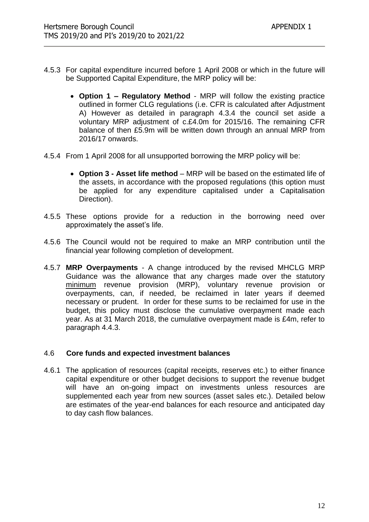- 4.5.3 For capital expenditure incurred before 1 April 2008 or which in the future will be Supported Capital Expenditure, the MRP policy will be:
	- **Option 1 – Regulatory Method** MRP will follow the existing practice outlined in former CLG regulations (i.e. CFR is calculated after Adjustment A) However as detailed in paragraph 4.3.4 the council set aside a voluntary MRP adjustment of c.£4.0m for 2015/16. The remaining CFR balance of then £5.9m will be written down through an annual MRP from 2016/17 onwards.
- 4.5.4 From 1 April 2008 for all unsupported borrowing the MRP policy will be:
	- **Option 3 - Asset life method** MRP will be based on the estimated life of the assets, in accordance with the proposed regulations (this option must be applied for any expenditure capitalised under a Capitalisation Direction).
- 4.5.5 These options provide for a reduction in the borrowing need over approximately the asset's life.
- 4.5.6 The Council would not be required to make an MRP contribution until the financial year following completion of development.
- 4.5.7 **MRP Overpayments** A change introduced by the revised MHCLG MRP Guidance was the allowance that any charges made over the statutory minimum revenue provision (MRP), voluntary revenue provision or overpayments, can, if needed, be reclaimed in later years if deemed necessary or prudent. In order for these sums to be reclaimed for use in the budget, this policy must disclose the cumulative overpayment made each year. As at 31 March 2018, the cumulative overpayment made is £4m, refer to paragraph 4.4.3.

#### 4.6 **Core funds and expected investment balances**

4.6.1 The application of resources (capital receipts, reserves etc.) to either finance capital expenditure or other budget decisions to support the revenue budget will have an on-going impact on investments unless resources are supplemented each year from new sources (asset sales etc.). Detailed below are estimates of the year-end balances for each resource and anticipated day to day cash flow balances.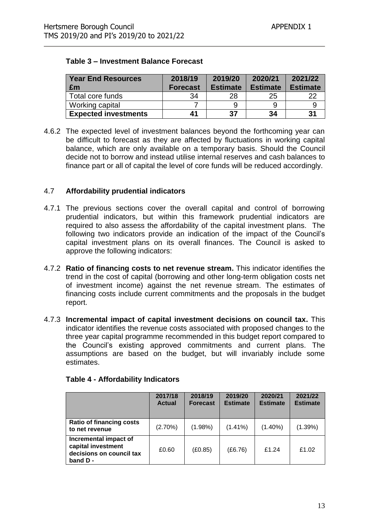| <b>Year End Resources</b><br>£m | 2018/19<br><b>Forecast</b> | 2019/20<br><b>Estimate</b> | 2020/21<br><b>Estimate</b> | 2021/22<br><b>Estimate</b> |
|---------------------------------|----------------------------|----------------------------|----------------------------|----------------------------|
| Total core funds                | 34                         | 28                         | 25                         |                            |
| Working capital                 |                            |                            |                            |                            |
| <b>Expected investments</b>     | 41                         | -37                        | 34                         | -31                        |

#### **Table 3 – Investment Balance Forecast**

4.6.2 The expected level of investment balances beyond the forthcoming year can be difficult to forecast as they are affected by fluctuations in working capital balance, which are only available on a temporary basis. Should the Council decide not to borrow and instead utilise internal reserves and cash balances to finance part or all of capital the level of core funds will be reduced accordingly.

#### 4.7 **Affordability prudential indicators**

- 4.7.1 The previous sections cover the overall capital and control of borrowing prudential indicators, but within this framework prudential indicators are required to also assess the affordability of the capital investment plans. The following two indicators provide an indication of the impact of the Council's capital investment plans on its overall finances. The Council is asked to approve the following indicators:
- 4.7.2 **Ratio of financing costs to net revenue stream.** This indicator identifies the trend in the cost of capital (borrowing and other long-term obligation costs net of investment income) against the net revenue stream. The estimates of financing costs include current commitments and the proposals in the budget report.
- 4.7.3 **Incremental impact of capital investment decisions on council tax.** This indicator identifies the revenue costs associated with proposed changes to the three year capital programme recommended in this budget report compared to the Council's existing approved commitments and current plans. The assumptions are based on the budget, but will invariably include some estimates.

|                                                                                    | 2017/18<br><b>Actual</b> | 2018/19<br><b>Forecast</b> | 2019/20<br><b>Estimate</b> | 2020/21<br><b>Estimate</b> | 2021/22<br><b>Estimate</b> |
|------------------------------------------------------------------------------------|--------------------------|----------------------------|----------------------------|----------------------------|----------------------------|
| <b>Ratio of financing costs</b><br>to net revenue                                  | $(2.70\%)$               | $(1.98\%)$                 | $(1.41\%)$                 | $(1.40\%)$                 | (1.39%)                    |
| Incremental impact of<br>capital investment<br>decisions on council tax<br>band D- | £0.60                    | (£0.85)                    | (E6.76)                    | £1.24                      | £1.02                      |

#### **Table 4 - Affordability Indicators**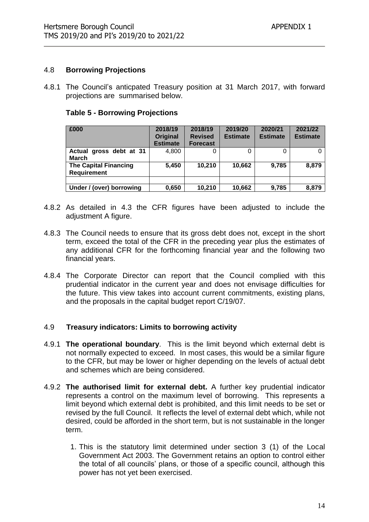#### 4.8 **Borrowing Projections**

4.8.1 The Council's anticpated Treasury position at 31 March 2017, with forward projections are summarised below.

| <b>Table 5 - Borrowing Projections</b> |
|----------------------------------------|
|----------------------------------------|

| £000                                               | 2018/19<br>Original<br><b>Estimate</b> | 2018/19<br><b>Revised</b><br><b>Forecast</b> | 2019/20<br><b>Estimate</b> | 2020/21<br><b>Estimate</b> | 2021/22<br><b>Estimate</b> |
|----------------------------------------------------|----------------------------------------|----------------------------------------------|----------------------------|----------------------------|----------------------------|
| Actual gross debt at 31<br><b>March</b>            | 4,800                                  |                                              |                            |                            |                            |
| <b>The Capital Financing</b><br><b>Requirement</b> | 5,450                                  | 10,210                                       | 10,662                     | 9,785                      | 8,879                      |
| Under / (over) borrowing                           | 0,650                                  | 10,210                                       | 10,662                     | 9,785                      | 8,879                      |

- 4.8.2 As detailed in 4.3 the CFR figures have been adjusted to include the adjustment A figure.
- 4.8.3 The Council needs to ensure that its gross debt does not, except in the short term, exceed the total of the CFR in the preceding year plus the estimates of any additional CFR for the forthcoming financial year and the following two financial years.
- 4.8.4 The Corporate Director can report that the Council complied with this prudential indicator in the current year and does not envisage difficulties for the future. This view takes into account current commitments, existing plans, and the proposals in the capital budget report C/19/07.

#### 4.9 **Treasury indicators: Limits to borrowing activity**

- 4.9.1 **The operational boundary**. This is the limit beyond which external debt is not normally expected to exceed. In most cases, this would be a similar figure to the CFR, but may be lower or higher depending on the levels of actual debt and schemes which are being considered.
- 4.9.2 **The authorised limit for external debt.** A further key prudential indicator represents a control on the maximum level of borrowing. This represents a limit beyond which external debt is prohibited, and this limit needs to be set or revised by the full Council. It reflects the level of external debt which, while not desired, could be afforded in the short term, but is not sustainable in the longer term.
	- 1. This is the statutory limit determined under section 3 (1) of the Local Government Act 2003. The Government retains an option to control either the total of all councils' plans, or those of a specific council, although this power has not yet been exercised.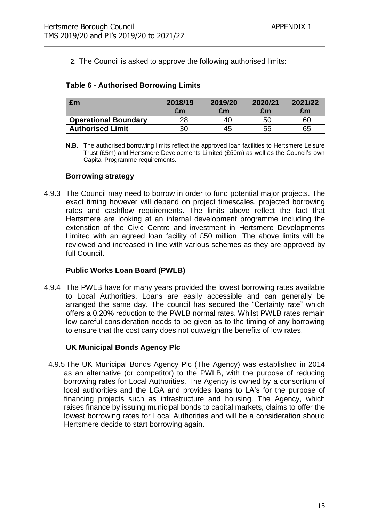2. The Council is asked to approve the following authorised limits:

#### **Table 6 - Authorised Borrowing Limits**

| £m                          | 2018/19<br>£m | 2019/20<br>£m | 2020/21<br>£m | 2021/22<br>£m |
|-----------------------------|---------------|---------------|---------------|---------------|
| <b>Operational Boundary</b> | 28            | 40            | 50            | 60            |
| <b>Authorised Limit</b>     | 30            | 45            | 55            | 65            |

**N.B.** The authorised borrowing limits reflect the approved loan facilities to Hertsmere Leisure Trust (£5m) and Hertsmere Developments Limited (£50m) as well as the Council's own Capital Programme requirements.

#### **Borrowing strategy**

4.9.3 The Council may need to borrow in order to fund potential major projects. The exact timing however will depend on project timescales, projected borrowing rates and cashflow requirements. The limits above reflect the fact that Hertsmere are looking at an internal development programme including the extenstion of the Civic Centre and investment in Hertsmere Developments Limited with an agreed loan facility of £50 million. The above limits will be reviewed and increased in line with various schemes as they are approved by full Council.

#### **Public Works Loan Board (PWLB)**

4.9.4 The PWLB have for many years provided the lowest borrowing rates available to Local Authorities. Loans are easily accessible and can generally be arranged the same day. The council has secured the "Certainty rate" which offers a 0.20% reduction to the PWLB normal rates. Whilst PWLB rates remain low careful consideration needs to be given as to the timing of any borrowing to ensure that the cost carry does not outweigh the benefits of low rates.

#### **UK Municipal Bonds Agency Plc**

4.9.5 The UK Municipal Bonds Agency Plc (The Agency) was established in 2014 as an alternative (or competitor) to the PWLB, with the purpose of reducing borrowing rates for Local Authorities. The Agency is owned by a consortium of local authorities and the LGA and provides loans to LA's for the purpose of financing projects such as infrastructure and housing. The Agency, which raises finance by issuing municipal bonds to capital markets, claims to offer the lowest borrowing rates for Local Authorities and will be a consideration should Hertsmere decide to start borrowing again.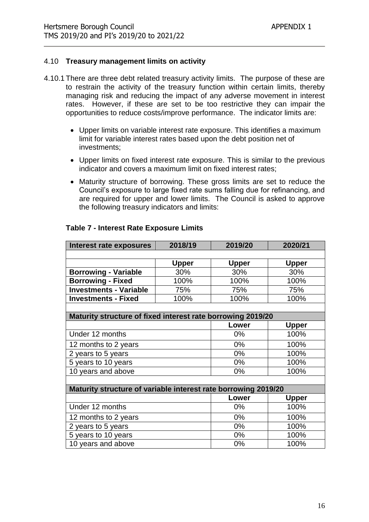#### 4.10 **Treasury management limits on activity**

- 4.10.1 There are three debt related treasury activity limits. The purpose of these are to restrain the activity of the treasury function within certain limits, thereby managing risk and reducing the impact of any adverse movement in interest rates. However, if these are set to be too restrictive they can impair the opportunities to reduce costs/improve performance. The indicator limits are:
	- Upper limits on variable interest rate exposure. This identifies a maximum limit for variable interest rates based upon the debt position net of investments;
	- Upper limits on fixed interest rate exposure. This is similar to the previous indicator and covers a maximum limit on fixed interest rates;
	- Maturity structure of borrowing. These gross limits are set to reduce the Council's exposure to large fixed rate sums falling due for refinancing, and are required for upper and lower limits. The Council is asked to approve the following treasury indicators and limits:

| Interest rate exposures                                        | 2018/19      | 2019/20      | 2020/21      |  |
|----------------------------------------------------------------|--------------|--------------|--------------|--|
|                                                                |              |              |              |  |
|                                                                | <b>Upper</b> | <b>Upper</b> | <b>Upper</b> |  |
| <b>Borrowing - Variable</b>                                    | 30%          | 30%          | 30%          |  |
| <b>Borrowing - Fixed</b>                                       | 100%         | 100%         | 100%         |  |
| <b>Investments - Variable</b>                                  | 75%          | 75%          | 75%          |  |
| <b>Investments - Fixed</b>                                     | 100%         | 100%         | 100%         |  |
|                                                                |              |              |              |  |
| Maturity structure of fixed interest rate borrowing 2019/20    |              |              |              |  |
|                                                                |              | Lower        | <b>Upper</b> |  |
| Under 12 months                                                |              | 0%           | 100%         |  |
| 12 months to 2 years                                           | $0\%$        | 100%         |              |  |
| 2 years to 5 years                                             |              | $0\%$        | 100%         |  |
| 5 years to 10 years                                            |              | $0\%$        | 100%         |  |
| 10 years and above                                             |              | $0\%$        | 100%         |  |
|                                                                |              |              |              |  |
| Maturity structure of variable interest rate borrowing 2019/20 |              |              |              |  |
|                                                                |              | Lower        | <b>Upper</b> |  |
| Under 12 months                                                |              | $0\%$        | 100%         |  |
| 12 months to 2 years                                           |              | $0\%$        | 100%         |  |
| 2 years to 5 years                                             |              | 0%           | 100%         |  |
| 5 years to 10 years                                            |              | 0%           | 100%         |  |
| 10 years and above                                             |              | $0\%$        | 100%         |  |

#### **Table 7 - Interest Rate Exposure Limits**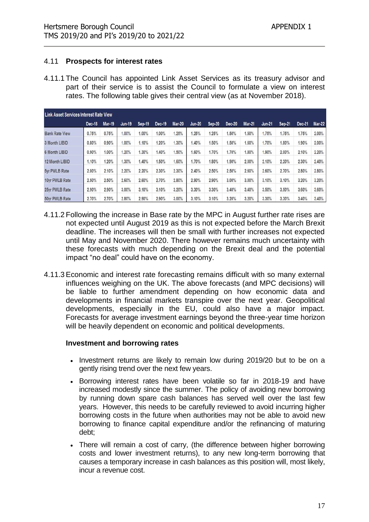#### 4.11 **Prospects for interest rates**

4.11.1 The Council has appointed Link Asset Services as its treasury advisor and part of their service is to assist the Council to formulate a view on interest rates. The following table gives their central view (as at November 2018).

| Link Asset Services Interest Rate View |        |               |        |        |        |               |               |        |        |               |        |               |        |        |
|----------------------------------------|--------|---------------|--------|--------|--------|---------------|---------------|--------|--------|---------------|--------|---------------|--------|--------|
|                                        | Dec-18 | <b>Mar-19</b> | Jun-19 | Sep-19 | Dec-19 | <b>Mar-20</b> | <b>Jun-20</b> | Sep-20 | Dec-20 | <b>Mar-21</b> | Jun-21 | <b>Sep-21</b> | Dec-21 | Mar-22 |
| <b>Bank Rate View</b>                  | 0.75%  | 0.75%         | 1.00%  | 1.00%  | 1.00%  | 1.25%         | .25%          | 1.25%  | 1.50%  | 1.50%         | 1.75%  | 1.75%         | 1.75%  | 2.00%  |
| 3 Month LIBID                          | 0.80%  | 0.90%         | 1.00%  | 1.10%  | 1.20%  | 1.30%         | 1.40%         | 1.50%  | 1.50%  | 1.60%         | 1.70%  | 1.80%         | 1.90%  | 2.00%  |
| 6 Month LIBID                          | 0.90%  | 1.00%         | 1.20%  | 1.30%  | 1.40%  | 1.50%         | 1.60%         | 1.70%  | 1.70%  | 1.80%         | 1.90%  | 2.00%         | 2.10%  | 2.20%  |
| 12 Month LIBID                         | 1.10%  | .20%          | 1.30%  | .40%   | 1.50%  | 1.60%         | 1.70%         | 1.80%  | 1.90%  | 2.00%         | 2.10%  | 2.20%         | 2.30%  | 2.40%  |
| 5yr PWLB Rate                          | 2.00%  | 2.10%         | 2.20%  | 2.20%  | 2.30%  | 2.30%         | 2.40%         | 2.50%  | 2.50%  | 2.60%         | 2.60%  | 2.70%         | 2.80%  | 2.80%  |
| 10vr PWLB Rate                         | 2.50%  | 2.50%         | 2.60%  | 2.60%  | 2.70%  | 2.80%         | 2.90%         | 2.90%  | 3.00%  | $3.00\%$      | 3.10%  | 3.10%         | 3.20%  | 3.20%  |
| 25yr PWLB Rate                         | 2.90%  | 2.90%         | 3.00%  | 3.10%  | 3.10%  | 3.20%         | 3.30%         | 3.30%  | 3.40%  | 3.40%         | 3.50%  | 3.50%         | 3.60%  | 3.60%  |
| 50yr PWLB Rate                         | 2.70%  | 2.70%         | 2.80%  | 2.90%  | 2.90%  | 3.00%         | 3.10%         | 3.10%  | 3.20%  | 3.20%         | 3.30%  | 3.30%         | 3.40%  | 3.40%  |

- 4.11.2 Following the increase in Base rate by the MPC in August further rate rises are not expected until August 2019 as this is not expected before the March Brexit deadline. The increases will then be small with further increases not expected until May and November 2020. There however remains much uncertainty with these forecasts with much depending on the Brexit deal and the potential impact "no deal" could have on the economy.
- 4.11.3 Economic and interest rate forecasting remains difficult with so many external influences weighing on the UK. The above forecasts (and MPC decisions) will be liable to further amendment depending on how economic data and developments in financial markets transpire over the next year. Geopolitical developments, especially in the EU, could also have a major impact. Forecasts for average investment earnings beyond the three-year time horizon will be heavily dependent on economic and political developments.

#### **Investment and borrowing rates**

- Investment returns are likely to remain low during 2019/20 but to be on a gently rising trend over the next few years.
- Borrowing interest rates have been volatile so far in 2018-19 and have increased modestly since the summer. The policy of avoiding new borrowing by running down spare cash balances has served well over the last few years. However, this needs to be carefully reviewed to avoid incurring higher borrowing costs in the future when authorities may not be able to avoid new borrowing to finance capital expenditure and/or the refinancing of maturing debt;
- There will remain a cost of carry, (the difference between higher borrowing costs and lower investment returns), to any new long-term borrowing that causes a temporary increase in cash balances as this position will, most likely, incur a revenue cost.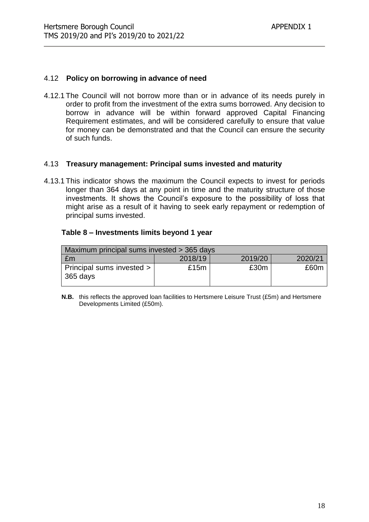#### 4.12 **Policy on borrowing in advance of need**

4.12.1 The Council will not borrow more than or in advance of its needs purely in order to profit from the investment of the extra sums borrowed. Any decision to borrow in advance will be within forward approved Capital Financing Requirement estimates, and will be considered carefully to ensure that value for money can be demonstrated and that the Council can ensure the security of such funds.

#### 4.13 **Treasury management: Principal sums invested and maturity**

4.13.1 This indicator shows the maximum the Council expects to invest for periods longer than 364 days at any point in time and the maturity structure of those investments. It shows the Council's exposure to the possibility of loss that might arise as a result of it having to seek early repayment or redemption of principal sums invested.

#### **Table 8 – Investments limits beyond 1 year**

| Maximum principal sums invested > 365 days |         |         |         |  |  |  |  |
|--------------------------------------------|---------|---------|---------|--|--|--|--|
| £m                                         | 2018/19 | 2019/20 | 2020/21 |  |  |  |  |
| Principal sums invested ><br>$365$ days    | £15m    | £30m    | £60m    |  |  |  |  |

**N.B.** this reflects the approved loan facilities to Hertsmere Leisure Trust (£5m) and Hertsmere Developments Limited (£50m).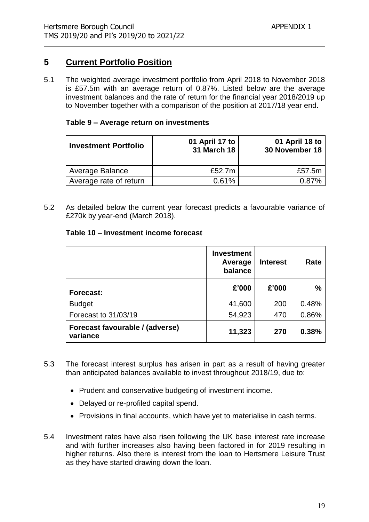## **5 Current Portfolio Position**

5.1 The weighted average investment portfolio from April 2018 to November 2018 is £57.5m with an average return of 0.87%. Listed below are the average investment balances and the rate of return for the financial year 2018/2019 up to November together with a comparison of the position at 2017/18 year end.

#### **Table 9 – Average return on investments**

| <b>Investment Portfolio</b> | 01 April 17 to<br><b>31 March 18</b> | 01 April 18 to<br>30 November 18 |
|-----------------------------|--------------------------------------|----------------------------------|
| Average Balance             | £52.7m                               | £57.5m                           |
| Average rate of return      | 0.61%                                | በ ጸ7%                            |

5.2 As detailed below the current year forecast predicts a favourable variance of £270k by year-end (March 2018).

#### **Table 10 – Investment income forecast**

|                                             | <b>Investment</b><br>Average<br>balance | <b>Interest</b> | Rate          |
|---------------------------------------------|-----------------------------------------|-----------------|---------------|
| <b>Forecast:</b>                            | £'000                                   | £'000           | $\frac{0}{0}$ |
| <b>Budget</b>                               | 41,600                                  | 200             | 0.48%         |
| Forecast to 31/03/19                        | 54,923                                  | 470             | 0.86%         |
| Forecast favourable / (adverse)<br>variance | 11,323                                  | 270             | 0.38%         |

- 5.3 The forecast interest surplus has arisen in part as a result of having greater than anticipated balances available to invest throughout 2018/19, due to:
	- Prudent and conservative budgeting of investment income.
	- Delayed or re-profiled capital spend.
	- Provisions in final accounts, which have yet to materialise in cash terms.
- 5.4 Investment rates have also risen following the UK base interest rate increase and with further increases also having been factored in for 2019 resulting in higher returns. Also there is interest from the loan to Hertsmere Leisure Trust as they have started drawing down the loan.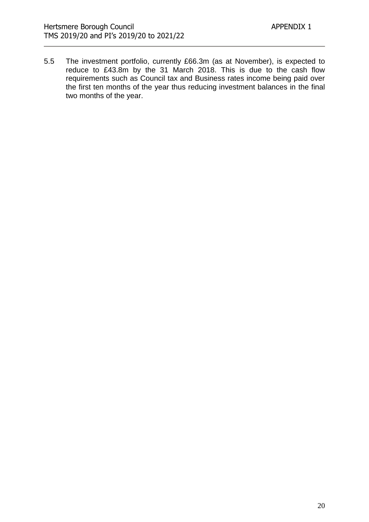5.5 The investment portfolio, currently £66.3m (as at November), is expected to reduce to £43.8m by the 31 March 2018. This is due to the cash flow requirements such as Council tax and Business rates income being paid over the first ten months of the year thus reducing investment balances in the final two months of the year.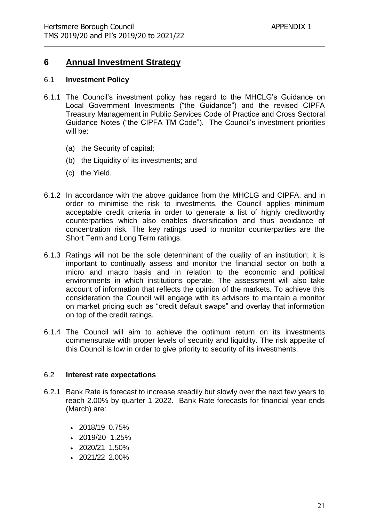## **6 Annual Investment Strategy**

#### 6.1 **Investment Policy**

- 6.1.1 The Council's investment policy has regard to the MHCLG's Guidance on Local Government Investments ("the Guidance") and the revised CIPFA Treasury Management in Public Services Code of Practice and Cross Sectoral Guidance Notes ("the CIPFA TM Code"). The Council's investment priorities will be:
	- (a) the Security of capital;
	- (b) the Liquidity of its investments; and
	- (c) the Yield.
- 6.1.2 In accordance with the above guidance from the MHCLG and CIPFA, and in order to minimise the risk to investments, the Council applies minimum acceptable credit criteria in order to generate a list of highly creditworthy counterparties which also enables diversification and thus avoidance of concentration risk. The key ratings used to monitor counterparties are the Short Term and Long Term ratings.
- 6.1.3 Ratings will not be the sole determinant of the quality of an institution; it is important to continually assess and monitor the financial sector on both a micro and macro basis and in relation to the economic and political environments in which institutions operate. The assessment will also take account of information that reflects the opinion of the markets. To achieve this consideration the Council will engage with its advisors to maintain a monitor on market pricing such as "credit default swaps" and overlay that information on top of the credit ratings.
- 6.1.4 The Council will aim to achieve the optimum return on its investments commensurate with proper levels of security and liquidity. The risk appetite of this Council is low in order to give priority to security of its investments.

#### 6.2 **Interest rate expectations**

- 6.2.1 Bank Rate is forecast to increase steadily but slowly over the next few years to reach 2.00% by quarter 1 2022. Bank Rate forecasts for financial year ends (March) are:
	- 2018/19 0.75%
	- 2019/20 1.25%
	- 2020/21 1.50%
	- 2021/22 2.00%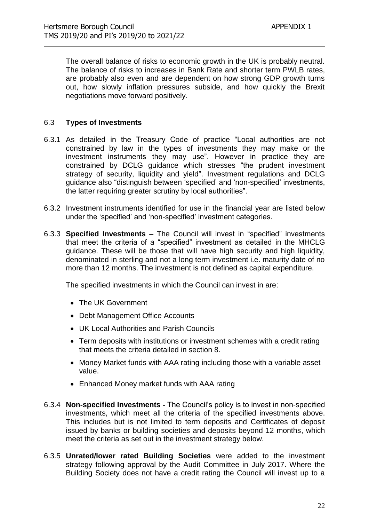The overall balance of risks to economic growth in the UK is probably neutral. The balance of risks to increases in Bank Rate and shorter term PWLB rates, are probably also even and are dependent on how strong GDP growth turns out, how slowly inflation pressures subside, and how quickly the Brexit negotiations move forward positively.

#### 6.3 **Types of Investments**

- 6.3.1 As detailed in the Treasury Code of practice "Local authorities are not constrained by law in the types of investments they may make or the investment instruments they may use". However in practice they are constrained by DCLG guidance which stresses "the prudent investment strategy of security, liquidity and yield". Investment regulations and DCLG guidance also "distinguish between 'specified' and 'non-specified' investments, the latter requiring greater scrutiny by local authorities".
- 6.3.2 Investment instruments identified for use in the financial year are listed below under the 'specified' and 'non-specified' investment categories.
- 6.3.3 **Specified Investments –** The Council will invest in "specified" investments that meet the criteria of a "specified" investment as detailed in the MHCLG guidance. These will be those that will have high security and high liquidity, denominated in sterling and not a long term investment i.e. maturity date of no more than 12 months. The investment is not defined as capital expenditure.

The specified investments in which the Council can invest in are:

- The UK Government
- Debt Management Office Accounts
- UK Local Authorities and Parish Councils
- Term deposits with institutions or investment schemes with a credit rating that meets the criteria detailed in section 8.
- Money Market funds with AAA rating including those with a variable asset value.
- Enhanced Money market funds with AAA rating
- 6.3.4 **Non-specified Investments -** The Council's policy is to invest in non-specified investments, which meet all the criteria of the specified investments above. This includes but is not limited to term deposits and Certificates of deposit issued by banks or building societies and deposits beyond 12 months, which meet the criteria as set out in the investment strategy below.
- 6.3.5 **Unrated/lower rated Building Societies** were added to the investment strategy following approval by the Audit Committee in July 2017. Where the Building Society does not have a credit rating the Council will invest up to a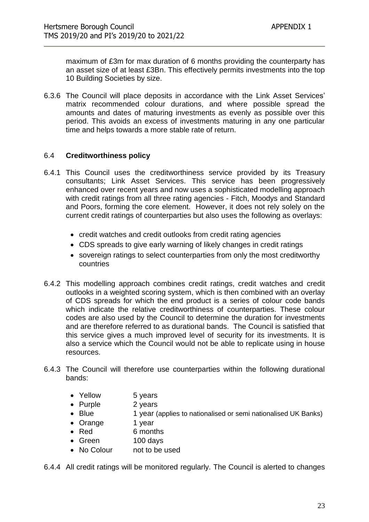maximum of £3m for max duration of 6 months providing the counterparty has an asset size of at least £3Bn. This effectively permits investments into the top 10 Building Societies by size.

6.3.6 The Council will place deposits in accordance with the Link Asset Services' matrix recommended colour durations, and where possible spread the amounts and dates of maturing investments as evenly as possible over this period. This avoids an excess of investments maturing in any one particular time and helps towards a more stable rate of return.

#### 6.4 **Creditworthiness policy**

- 6.4.1 This Council uses the creditworthiness service provided by its Treasury consultants; Link Asset Services. This service has been progressively enhanced over recent years and now uses a sophisticated modelling approach with credit ratings from all three rating agencies - Fitch, Moodys and Standard and Poors, forming the core element. However, it does not rely solely on the current credit ratings of counterparties but also uses the following as overlays:
	- credit watches and credit outlooks from credit rating agencies
	- CDS spreads to give early warning of likely changes in credit ratings
	- sovereign ratings to select counterparties from only the most creditworthy countries
- 6.4.2 This modelling approach combines credit ratings, credit watches and credit outlooks in a weighted scoring system, which is then combined with an overlay of CDS spreads for which the end product is a series of colour code bands which indicate the relative creditworthiness of counterparties. These colour codes are also used by the Council to determine the duration for investments and are therefore referred to as durational bands. The Council is satisfied that this service gives a much improved level of security for its investments. It is also a service which the Council would not be able to replicate using in house resources.
- 6.4.3 The Council will therefore use counterparties within the following durational bands:
	- Yellow 5 years
	- Purple 2 years
	- Blue 1 year (applies to nationalised or semi nationalised UK Banks)
	- Orange 1 year
	- Red 6 months
	- Green 100 days
	- No Colour not to be used

6.4.4 All credit ratings will be monitored regularly. The Council is alerted to changes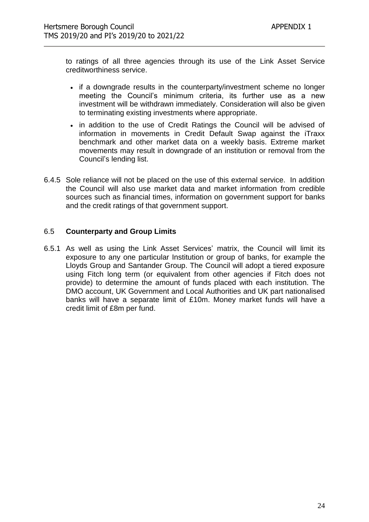to ratings of all three agencies through its use of the Link Asset Service creditworthiness service.

- if a downgrade results in the counterparty/investment scheme no longer meeting the Council's minimum criteria, its further use as a new investment will be withdrawn immediately. Consideration will also be given to terminating existing investments where appropriate.
- in addition to the use of Credit Ratings the Council will be advised of information in movements in Credit Default Swap against the iTraxx benchmark and other market data on a weekly basis. Extreme market movements may result in downgrade of an institution or removal from the Council's lending list.
- 6.4.5 Sole reliance will not be placed on the use of this external service. In addition the Council will also use market data and market information from credible sources such as financial times, information on government support for banks and the credit ratings of that government support.

#### 6.5 **Counterparty and Group Limits**

6.5.1 As well as using the Link Asset Services' matrix, the Council will limit its exposure to any one particular Institution or group of banks, for example the Lloyds Group and Santander Group. The Council will adopt a tiered exposure using Fitch long term (or equivalent from other agencies if Fitch does not provide) to determine the amount of funds placed with each institution. The DMO account, UK Government and Local Authorities and UK part nationalised banks will have a separate limit of £10m. Money market funds will have a credit limit of £8m per fund.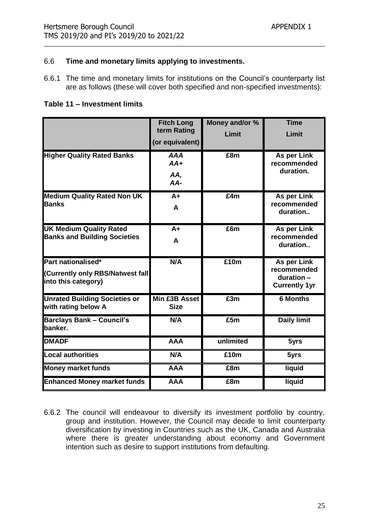#### 6.6 **Time and monetary limits applying to investments.**

6.6.1 The time and monetary limits for institutions on the Council's counterparty list are as follows (these will cover both specified and non-specified investments):

**Table 11 – Investment limits**

|                                                                               | <b>Fitch Long</b><br>term Rating<br>(or equivalent) | Money and/or %<br>Limit | <b>Time</b><br>Limit                                             |
|-------------------------------------------------------------------------------|-----------------------------------------------------|-------------------------|------------------------------------------------------------------|
| <b>Higher Quality Rated Banks</b>                                             | <b>AAA</b><br>$AA+$<br>AA,<br>$AA-$                 | £8m                     | As per Link<br>recommended<br>duration.                          |
| <b>Medium Quality Rated Non UK</b><br><b>Banks</b>                            | $A+$<br>A                                           | £4m                     | As per Link<br>recommended<br>duration                           |
| <b>UK Medium Quality Rated</b><br><b>Banks and Building Societies</b>         | $A+$<br>A                                           | £6m                     | As per Link<br>recommended<br>duration                           |
| Part nationalised*<br>(Currently only RBS/Natwest fall<br>into this category) | N/A                                                 | £10m                    | As per Link<br>recommended<br>duration -<br><b>Currently 1yr</b> |
| <b>Unrated Building Societies or</b><br>with rating below A                   | Min £3B Asset<br><b>Size</b>                        | £3m                     | <b>6 Months</b>                                                  |
| <b>Barclays Bank - Council's</b><br>banker.                                   | N/A                                                 | E5m                     | <b>Daily limit</b>                                               |
| <b>DMADF</b>                                                                  | <b>AAA</b>                                          | unlimited               | 5yrs                                                             |
| <b>Local authorities</b>                                                      | N/A                                                 | £10m                    | 5yrs                                                             |
| <b>Money market funds</b>                                                     | <b>AAA</b>                                          | £8m                     | liquid                                                           |
| <b>Enhanced Money market funds</b>                                            | <b>AAA</b>                                          | E8m                     | liquid                                                           |

6.6.2 The council will endeavour to diversify its investment portfolio by country, group and institution. However, the Council may decide to limit counterparty diversification by investing in Countries such as the UK, Canada and Australia where there is greater understanding about economy and Government intention such as desire to support institutions from defaulting.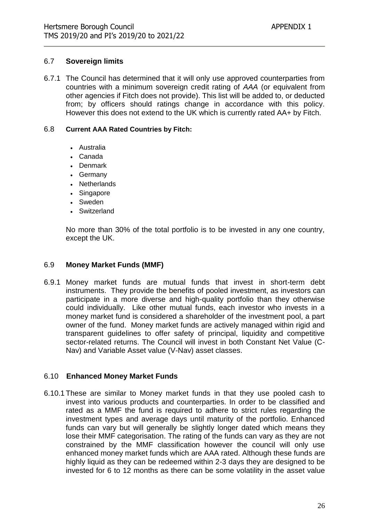#### 6.7 **Sovereign limits**

6.7.1 The Council has determined that it will only use approved counterparties from countries with a minimum sovereign credit rating of *AAA* (or equivalent from other agencies if Fitch does not provide). This list will be added to, or deducted from; by officers should ratings change in accordance with this policy. However this does not extend to the UK which is currently rated AA+ by Fitch.

#### 6.8 **Current AAA Rated Countries by Fitch:**

- Australia
- Canada
- Denmark
- Germany
- Netherlands
- Singapore
- Sweden
- Switzerland

No more than 30% of the total portfolio is to be invested in any one country, except the UK.

#### 6.9 **Money Market Funds (MMF)**

6.9.1 Money market funds are mutual funds that invest in short-term debt instruments. They provide the benefits of pooled investment, as investors can participate in a more diverse and high-quality portfolio than they otherwise could individually. Like other mutual funds, each investor who invests in a money market fund is considered a shareholder of the investment pool, a part owner of the fund. Money market funds are actively managed within rigid and transparent guidelines to offer safety of principal, liquidity and competitive sector-related returns. The Council will invest in both Constant Net Value (C-Nav) and Variable Asset value (V-Nav) asset classes.

#### 6.10 **Enhanced Money Market Funds**

6.10.1 These are similar to Money market funds in that they use pooled cash to invest into various products and counterparties. In order to be classified and rated as a MMF the fund is required to adhere to strict rules regarding the investment types and average days until maturity of the portfolio. Enhanced funds can vary but will generally be slightly longer dated which means they lose their MMF categorisation. The rating of the funds can vary as they are not constrained by the MMF classification however the council will only use enhanced money market funds which are AAA rated. Although these funds are highly liquid as they can be redeemed within 2-3 days they are designed to be invested for 6 to 12 months as there can be some volatility in the asset value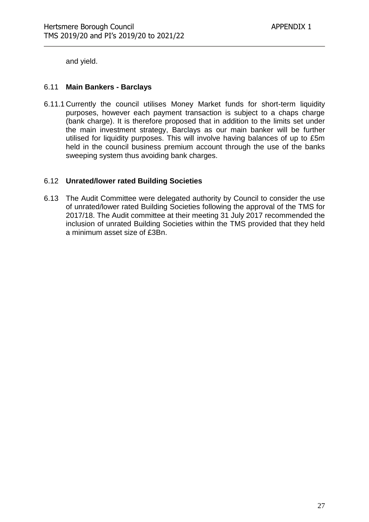and yield.

#### 6.11 **Main Bankers - Barclays**

6.11.1 Currently the council utilises Money Market funds for short-term liquidity purposes, however each payment transaction is subject to a chaps charge (bank charge). It is therefore proposed that in addition to the limits set under the main investment strategy, Barclays as our main banker will be further utilised for liquidity purposes. This will involve having balances of up to £5m held in the council business premium account through the use of the banks sweeping system thus avoiding bank charges.

#### 6.12 **Unrated/lower rated Building Societies**

6.13 The Audit Committee were delegated authority by Council to consider the use of unrated/lower rated Building Societies following the approval of the TMS for 2017/18. The Audit committee at their meeting 31 July 2017 recommended the inclusion of unrated Building Societies within the TMS provided that they held a minimum asset size of £3Bn.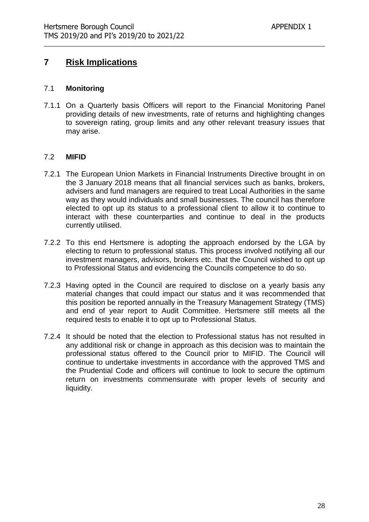## **7 Risk Implications**

#### 7.1 **Monitoring**

7.1.1 On a Quarterly basis Officers will report to the Financial Monitoring Panel providing details of new investments, rate of returns and highlighting changes to sovereign rating, group limits and any other relevant treasury issues that may arise.

#### 7.2 **MIFID**

- 7.2.1 The European Union Markets in Financial Instruments Directive brought in on the 3 January 2018 means that all financial services such as banks, brokers, advisers and fund managers are required to treat Local Authorities in the same way as they would individuals and small businesses. The council has therefore elected to opt up its status to a professional client to allow it to continue to interact with these counterparties and continue to deal in the products currently utilised.
- 7.2.2 To this end Hertsmere is adopting the approach endorsed by the LGA by electing to return to professional status. This process involved notifying all our investment managers, advisors, brokers etc. that the Council wished to opt up to Professional Status and evidencing the Councils competence to do so.
- 7.2.3 Having opted in the Council are required to disclose on a yearly basis any material changes that could impact our status and it was recommended that this position be reported annually in the Treasury Management Strategy (TMS) and end of year report to Audit Committee. Hertsmere still meets all the required tests to enable it to opt up to Professional Status.
- 7.2.4 It should be noted that the election to Professional status has not resulted in any additional risk or change in approach as this decision was to maintain the professional status offered to the Council prior to MIFID. The Council will continue to undertake investments in accordance with the approved TMS and the Prudential Code and officers will continue to look to secure the optimum return on investments commensurate with proper levels of security and liquidity.